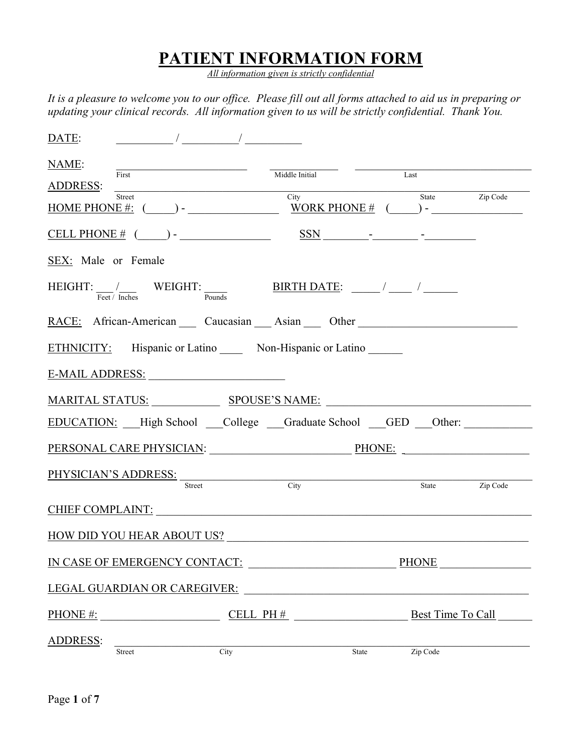## PATIENT INFORMATION FORM

All information given is strictly confidential

It is a pleasure to welcome you to our office. Please fill out all forms attached to aid us in preparing or updating your clinical records. All information given to us will be strictly confidential. Thank You.

| DATE:<br>$\frac{1}{2}$ and $\frac{1}{2}$ and $\frac{1}{2}$ and $\frac{1}{2}$ and $\frac{1}{2}$ and $\frac{1}{2}$ and $\frac{1}{2}$ and $\frac{1}{2}$ and $\frac{1}{2}$ and $\frac{1}{2}$ and $\frac{1}{2}$ and $\frac{1}{2}$ and $\frac{1}{2}$ and $\frac{1}{2}$ and $\frac{1}{2}$ and $\frac{1}{2}$ a                                                                                                                                                                                                  |                                                         |      |                   |          |
|---------------------------------------------------------------------------------------------------------------------------------------------------------------------------------------------------------------------------------------------------------------------------------------------------------------------------------------------------------------------------------------------------------------------------------------------------------------------------------------------------------|---------------------------------------------------------|------|-------------------|----------|
| NAME:<br>First<br>ADDRESS:                                                                                                                                                                                                                                                                                                                                                                                                                                                                              | Middle Initial                                          | Last |                   |          |
| Street<br>$\underline{\text{HOME PHONE}\#:} \quad (\underline{\hspace{1cm}}) \text{-} \underline{\hspace{1cm}} \underline{\hspace{1cm}}$                                                                                                                                                                                                                                                                                                                                                                | City                                                    |      | State             | Zip Code |
| <u>CELL PHONE # <math>(</math> <math>)</math> -   <math>)</math> <math>\sim</math> <math>\frac{SSN}{N}</math> <math>\sim</math> <math>\sim</math> <math>\sim</math> <math>\sim</math> <math>\sim</math> <math>\sim</math> <math>\sim</math></u>                                                                                                                                                                                                                                                         |                                                         |      |                   |          |
| SEX: Male or Female                                                                                                                                                                                                                                                                                                                                                                                                                                                                                     |                                                         |      |                   |          |
| $\text{HEIGHT:} \frac{1}{\text{Fect}} / \frac{1}{\text{Inches}} \qquad \text{WEIGHT:} \qquad \qquad \frac{\text{BIRTH DATE:}}{\text{Pounds}} \qquad \qquad \frac{1}{\text{Pounds}} \qquad \frac{1}{\text{Pounds}} \qquad \frac{1}{\text{Pounds}} \qquad \frac{1}{\text{Pounds}} \qquad \frac{1}{\text{Pounds}} \qquad \frac{1}{\text{Pounds}} \qquad \frac{1}{\text{Pounds}} \qquad \frac{1}{\text{Pounds}} \qquad \frac{1}{\text{Pounds}} \qquad \frac{1}{\text{Pounds}} \qquad \frac{1}{\text{Pounds$ |                                                         |      |                   |          |
| RACE: African-American Caucasian Asian Other                                                                                                                                                                                                                                                                                                                                                                                                                                                            |                                                         |      |                   |          |
| ETHNICITY: Hispanic or Latino Non-Hispanic or Latino                                                                                                                                                                                                                                                                                                                                                                                                                                                    |                                                         |      |                   |          |
| E-MAIL ADDRESS: North and the Mail Address of the Mail Address of the Mail Address of the Mail Address of the M                                                                                                                                                                                                                                                                                                                                                                                         |                                                         |      |                   |          |
| MARITAL STATUS: SPOUSE'S NAME:                                                                                                                                                                                                                                                                                                                                                                                                                                                                          |                                                         |      |                   |          |
| <u>EDUCATION:</u> High School College Graduate School GED Other:                                                                                                                                                                                                                                                                                                                                                                                                                                        |                                                         |      |                   |          |
| PERSONAL CARE PHYSICIAN: PHONE: PHONE:                                                                                                                                                                                                                                                                                                                                                                                                                                                                  |                                                         |      |                   |          |
| PHYSICIAN'S ADDRESS: Street                                                                                                                                                                                                                                                                                                                                                                                                                                                                             | $\overline{\text{City}}$                                |      | State Zip Code    |          |
| <b>CHIEF COMPLAINT:</b>                                                                                                                                                                                                                                                                                                                                                                                                                                                                                 |                                                         |      |                   |          |
| HOW DID YOU HEAR ABOUT US?                                                                                                                                                                                                                                                                                                                                                                                                                                                                              |                                                         |      |                   |          |
| IN CASE OF EMERGENCY CONTACT:                                                                                                                                                                                                                                                                                                                                                                                                                                                                           |                                                         |      | <b>PHONE</b>      |          |
| LEGAL GUARDIAN OR CAREGIVER:                                                                                                                                                                                                                                                                                                                                                                                                                                                                            | <u> 1989 - John Barnett, fransk politiker (d. 1989)</u> |      |                   |          |
| PHONE #:                                                                                                                                                                                                                                                                                                                                                                                                                                                                                                | $CELL PH#$                                              |      | Best Time To Call |          |
| <b>ADDRESS:</b><br>City<br>Street                                                                                                                                                                                                                                                                                                                                                                                                                                                                       | State                                                   |      | Zip Code          |          |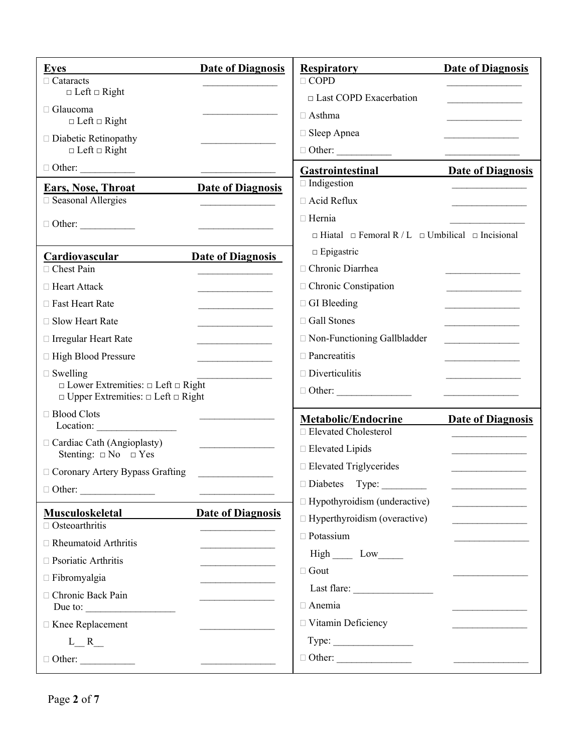| Eves<br>$\Box$ Cataracts                                                                                 | <b>Date of Diagnosis</b>                | <b>Respiratory</b><br>$\Box$ COPD                                     | <b>Date of Diagnosis</b>                |
|----------------------------------------------------------------------------------------------------------|-----------------------------------------|-----------------------------------------------------------------------|-----------------------------------------|
| $\Box$ Left $\Box$ Right                                                                                 |                                         | □ Last COPD Exacerbation                                              |                                         |
| □ Glaucoma                                                                                               |                                         | $\Box$ Asthma                                                         |                                         |
| $\Box$ Left $\Box$ Right                                                                                 |                                         | □ Sleep Apnea                                                         |                                         |
| $\Box$ Diabetic Retinopathy<br>$\Box$ Left $\Box$ Right                                                  |                                         |                                                                       |                                         |
| $\Box$ Other: $\_\_$                                                                                     |                                         |                                                                       |                                         |
|                                                                                                          |                                         | <b>Gastrointestinal</b><br>$\Box$ Indigestion                         | <b>Date of Diagnosis</b>                |
| <b>Ears, Nose, Throat</b><br>□ Seasonal Allergies                                                        | <b>Date of Diagnosis</b>                | □ Acid Reflux                                                         |                                         |
|                                                                                                          |                                         | $\Box$ Hernia                                                         |                                         |
| $\Box$ Other:                                                                                            |                                         | $\Box$ Hiatal $\Box$ Femoral R / L $\Box$ Umbilical $\Box$ Incisional |                                         |
| Cardiovascular                                                                                           | <b>Date of Diagnosis</b>                | $\Box$ Epigastric                                                     |                                         |
| □ Chest Pain                                                                                             |                                         | □ Chronic Diarrhea                                                    |                                         |
| □ Heart Attack                                                                                           |                                         | □ Chronic Constipation                                                |                                         |
| □ Fast Heart Rate                                                                                        |                                         | $\Box$ GI Bleeding                                                    |                                         |
| □ Slow Heart Rate                                                                                        |                                         | □ Gall Stones                                                         |                                         |
| □ Irregular Heart Rate                                                                                   |                                         | □ Non-Functioning Gallbladder                                         | <u> 1989 - Johann Barbara, martin a</u> |
| □ High Blood Pressure                                                                                    | <u> 1990 - Johann Barbara, martx</u>    | $\Box$ Pancreatitis                                                   |                                         |
| $\Box$ Swelling                                                                                          |                                         | $\Box$ Diverticulitis                                                 |                                         |
| $\Box$ Lower Extremities: $\Box$ Left $\Box$ Right<br>$\Box$ Upper Extremities: $\Box$ Left $\Box$ Right |                                         | $\Box$ Other:                                                         |                                         |
| □ Blood Clots                                                                                            |                                         | <b>Metabolic/Endocrine</b>                                            | <b>Date of Diagnosis</b>                |
| Location:<br>□ Cardiac Cath (Angioplasty)                                                                |                                         | □ Elevated Cholesterol                                                |                                         |
| Stenting: $\Box$ No $\Box$ Yes                                                                           |                                         | □ Elevated Lipids                                                     |                                         |
| □ Coronary Artery Bypass Grafting                                                                        |                                         | □ Elevated Triglycerides                                              |                                         |
|                                                                                                          |                                         |                                                                       |                                         |
|                                                                                                          | <b>Date of Diagnosis</b>                | $\Box$ Hypothyroidism (underactive)                                   |                                         |
| <b>Musculoskeletal</b><br>$\Box$ Osteoarthritis                                                          |                                         | $\Box$ Hyperthyroidism (overactive)                                   |                                         |
| □ Rheumatoid Arthritis                                                                                   | <u> 1980 - Johann Barbara, martxa a</u> | $\Box$ Potassium                                                      |                                         |
| $\Box$ Psoriatic Arthritis                                                                               |                                         | High __ Low______                                                     |                                         |
| $\Box$ Fibromyalgia                                                                                      |                                         | $\Box$ Gout                                                           |                                         |
| □ Chronic Back Pain                                                                                      |                                         |                                                                       |                                         |
| Due to: $\qquad \qquad$                                                                                  |                                         | □ Anemia                                                              |                                         |
| □ Knee Replacement                                                                                       |                                         | □ Vitamin Deficiency                                                  |                                         |
| $L_R$                                                                                                    |                                         | Type:                                                                 |                                         |
| $\Box$ Other:                                                                                            |                                         |                                                                       |                                         |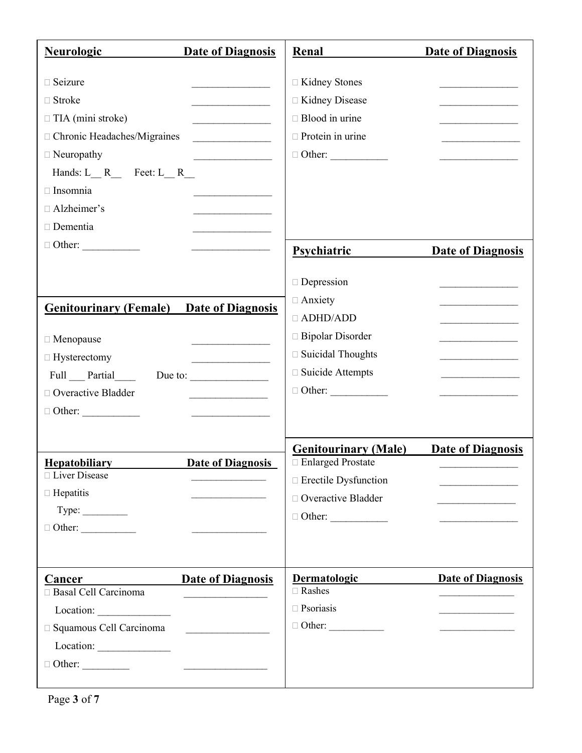| <b>Neurologic</b><br><b>Date of Diagnosis</b>                                                                                                                                                                                                                                                                                                                                                                                                                                                                                                                                                                                                                                                                            | Renal                                                                                                                                 | <b>Date of Diagnosis</b>                                                                                                                                                                                |
|--------------------------------------------------------------------------------------------------------------------------------------------------------------------------------------------------------------------------------------------------------------------------------------------------------------------------------------------------------------------------------------------------------------------------------------------------------------------------------------------------------------------------------------------------------------------------------------------------------------------------------------------------------------------------------------------------------------------------|---------------------------------------------------------------------------------------------------------------------------------------|---------------------------------------------------------------------------------------------------------------------------------------------------------------------------------------------------------|
| □ Seizure<br>□ Stroke<br>$\Box$ TIA (mini stroke)<br><u> 1980 - Johann Barbara, martxa al</u><br>□ Chronic Headaches/Migraines<br>$\Box$ Neuropathy<br><u> 1989 - Johann Barbara, martin a</u><br>Hands: $L_R$ Feet: $L_R$<br>$\Box$ Insomnia<br>□ Alzheimer's<br>Dementia<br>the control of the control of the control of                                                                                                                                                                                                                                                                                                                                                                                               | □ Kidney Stones<br>□ Kidney Disease<br>$\Box$ Blood in urine<br>$\Box$ Protein in urine<br>$\Box$ Other:                              | the control of the control of the control of<br>the control of the control of the control of                                                                                                            |
| $\Box$ Other:                                                                                                                                                                                                                                                                                                                                                                                                                                                                                                                                                                                                                                                                                                            | <b>Psychiatric</b>                                                                                                                    | <b>Date of Diagnosis</b>                                                                                                                                                                                |
| <b>Genitourinary (Female)</b><br><b>Date of Diagnosis</b><br>□ Menopause<br>□ Hysterectomy<br>Full Partial<br>Due to: $\qquad \qquad$<br>□ Overactive Bladder<br>the contract of the contract of the contract of<br>$\Box$ Other:                                                                                                                                                                                                                                                                                                                                                                                                                                                                                        | $\Box$ Depression<br>□ Anxiety<br>$\Box$ ADHD/ADD<br>□ Bipolar Disorder<br>□ Suicidal Thoughts<br>□ Suicide Attempts<br>$\Box$ Other: | <u> 1980 - Johann Barbara, martxa a</u><br>the control of the control of the control of<br>the control of the control of the control of<br>the control of the control of the control of                 |
|                                                                                                                                                                                                                                                                                                                                                                                                                                                                                                                                                                                                                                                                                                                          | <b>Genitourinary (Male)</b>                                                                                                           | <b>Date of Diagnosis</b>                                                                                                                                                                                |
| <b>Hepatobiliary</b><br><b>Date of Diagnosis</b><br>□ Liver Disease                                                                                                                                                                                                                                                                                                                                                                                                                                                                                                                                                                                                                                                      | $\Box$ Enlarged Prostate<br>□ Erectile Dysfunction                                                                                    |                                                                                                                                                                                                         |
| $\Box$ Hepatitis                                                                                                                                                                                                                                                                                                                                                                                                                                                                                                                                                                                                                                                                                                         | □ Overactive Bladder                                                                                                                  |                                                                                                                                                                                                         |
|                                                                                                                                                                                                                                                                                                                                                                                                                                                                                                                                                                                                                                                                                                                          | $\Box$ Other:                                                                                                                         |                                                                                                                                                                                                         |
|                                                                                                                                                                                                                                                                                                                                                                                                                                                                                                                                                                                                                                                                                                                          |                                                                                                                                       |                                                                                                                                                                                                         |
| <b>Date of Diagnosis</b><br>Cancer<br>Cancer<br>□ Basal Cell Carcinoma<br>□ Squamous Cell Carcinoma<br>$\Box$ Other:<br>$\begin{tabular}{ccccccccc} \multicolumn{2}{c }{\textbf{\textcolor{blue}{\bf \textcolor{blue}{\bf \textcolor{blue}{\bf \textcolor{blue}{\bf \textcolor{blue}{\bf \textcolor{blue}{\bf \textcolor{blue}{\bf \textcolor{blue}{\bf \textcolor{blue}{\bf \textcolor{blue}{\bf \textcolor{blue}{\bf \textcolor{blue}{\bf \textcolor{blue}{\bf \textcolor{blue}{\bf \textcolor{blue}{\bf \textcolor{blue}{\bf \textcolor{blue}{\bf \textcolor{blue}{\bf \textcolor{blue}{\bf \textcolor{blue}{\bf \textcolor{blue}{\bf \textcolor{blue}{\bf \textcolor{blue}{\bf \textcolor{blue}{\bf \textcolor{blue$ | <b>Dermatologic</b><br>$\Box$ Rashes<br>$\Box$ Psoriasis<br>$\Box$ Other:                                                             | <b>Date of Diagnosis</b><br><u> 1989 - Johann Barbara, martxa alemani</u> ar a<br><u> Liston de la construcción de la construcción de la construcción de la construcción de la construcción de la c</u> |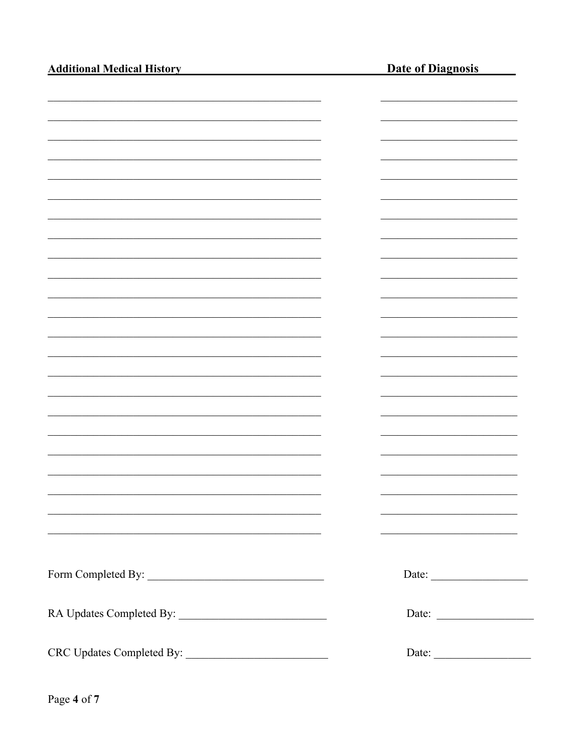| <b>Additional Medical History</b>                                | <b>Date of Diagnosis</b> |
|------------------------------------------------------------------|--------------------------|
|                                                                  |                          |
|                                                                  |                          |
|                                                                  |                          |
|                                                                  |                          |
|                                                                  |                          |
|                                                                  |                          |
|                                                                  |                          |
|                                                                  |                          |
|                                                                  |                          |
|                                                                  |                          |
|                                                                  |                          |
|                                                                  |                          |
|                                                                  |                          |
|                                                                  |                          |
|                                                                  |                          |
|                                                                  |                          |
|                                                                  |                          |
|                                                                  |                          |
| <u> 1990 - Johann John Stoff, amerikansk politiker (d. 1990)</u> |                          |
| <u> 1989 - Johann Stoff, amerikansk politiker (d. 1989)</u>      |                          |
|                                                                  |                          |
|                                                                  | Date: $\qquad \qquad$    |
|                                                                  | Date:                    |
|                                                                  | Date:                    |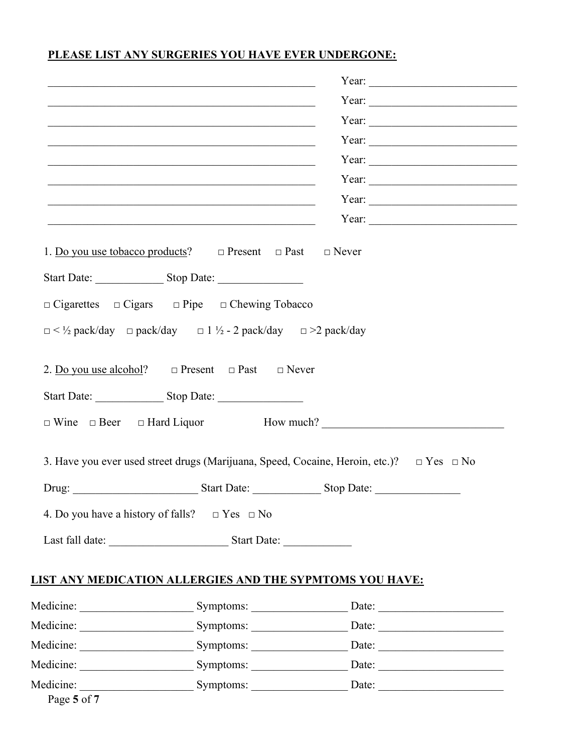## PLEASE LIST ANY SURGERIES YOU HAVE EVER UNDERGONE:

|                                                                                                                         | Year: $\frac{1}{2}$ $\frac{1}{2}$ $\frac{1}{2}$ $\frac{1}{2}$ $\frac{1}{2}$ $\frac{1}{2}$ $\frac{1}{2}$ $\frac{1}{2}$ $\frac{1}{2}$ $\frac{1}{2}$ $\frac{1}{2}$ $\frac{1}{2}$ $\frac{1}{2}$ $\frac{1}{2}$ $\frac{1}{2}$ $\frac{1}{2}$ $\frac{1}{2}$ $\frac{1}{2}$ $\frac{1}{2}$ $\frac{1}{2}$ $\frac{1}{2}$ $\frac{1$ |
|-------------------------------------------------------------------------------------------------------------------------|-----------------------------------------------------------------------------------------------------------------------------------------------------------------------------------------------------------------------------------------------------------------------------------------------------------------------|
| <u> 1989 - Johann Barbara, margaret eta idazlea (h. 1989).</u>                                                          |                                                                                                                                                                                                                                                                                                                       |
|                                                                                                                         | Year:                                                                                                                                                                                                                                                                                                                 |
| <u> 1989 - Johann John Stoff, deutscher Stoff aus der Stoff aus der Stoff aus der Stoff aus der Stoff aus der Stoff</u> | Year:                                                                                                                                                                                                                                                                                                                 |
|                                                                                                                         | Year: $\frac{1}{2}$ $\frac{1}{2}$ $\frac{1}{2}$ $\frac{1}{2}$ $\frac{1}{2}$ $\frac{1}{2}$ $\frac{1}{2}$ $\frac{1}{2}$ $\frac{1}{2}$ $\frac{1}{2}$ $\frac{1}{2}$ $\frac{1}{2}$ $\frac{1}{2}$ $\frac{1}{2}$ $\frac{1}{2}$ $\frac{1}{2}$ $\frac{1}{2}$ $\frac{1}{2}$ $\frac{1}{2}$ $\frac{1}{2}$ $\frac{1}{2}$ $\frac{1$ |
|                                                                                                                         |                                                                                                                                                                                                                                                                                                                       |
| <u> 1989 - Johann Stoff, amerikansk politiker (d. 1989)</u>                                                             |                                                                                                                                                                                                                                                                                                                       |
| <u> 2008 - Jan Berlin, Amerikaansk politiker (d. 1982)</u>                                                              |                                                                                                                                                                                                                                                                                                                       |
| 1. Do you use tobacco products? $\Box$ Present $\Box$ Past $\Box$ Never                                                 |                                                                                                                                                                                                                                                                                                                       |
|                                                                                                                         |                                                                                                                                                                                                                                                                                                                       |
| $\Box$ Cigarettes $\Box$ Cigars $\Box$ Pipe $\Box$ Chewing Tobacco                                                      |                                                                                                                                                                                                                                                                                                                       |
| $\Box$ < 1/2 pack/day $\Box$ pack/day $\Box$ 1 1/2 - 2 pack/day $\Box$ >2 pack/day                                      |                                                                                                                                                                                                                                                                                                                       |
|                                                                                                                         |                                                                                                                                                                                                                                                                                                                       |
| 2. Do you use alcohol? $\Box$ Present $\Box$ Past $\Box$ Never                                                          |                                                                                                                                                                                                                                                                                                                       |
|                                                                                                                         |                                                                                                                                                                                                                                                                                                                       |
|                                                                                                                         | $\Box$ Wine $\Box$ Beer $\Box$ Hard Liquor How much?                                                                                                                                                                                                                                                                  |
|                                                                                                                         |                                                                                                                                                                                                                                                                                                                       |
|                                                                                                                         | 3. Have you ever used street drugs (Marijuana, Speed, Cocaine, Heroin, etc.)?  □ Yes □ No                                                                                                                                                                                                                             |
|                                                                                                                         |                                                                                                                                                                                                                                                                                                                       |
|                                                                                                                         |                                                                                                                                                                                                                                                                                                                       |
|                                                                                                                         |                                                                                                                                                                                                                                                                                                                       |
| 4. Do you have a history of falls? $\Box$ Yes $\Box$ No                                                                 |                                                                                                                                                                                                                                                                                                                       |
|                                                                                                                         |                                                                                                                                                                                                                                                                                                                       |
|                                                                                                                         |                                                                                                                                                                                                                                                                                                                       |
| LIST ANY MEDICATION ALLERGIES AND THE SYPMTOMS YOU HAVE:                                                                |                                                                                                                                                                                                                                                                                                                       |
|                                                                                                                         |                                                                                                                                                                                                                                                                                                                       |
|                                                                                                                         | Date: $\qquad \qquad$                                                                                                                                                                                                                                                                                                 |
|                                                                                                                         |                                                                                                                                                                                                                                                                                                                       |
|                                                                                                                         |                                                                                                                                                                                                                                                                                                                       |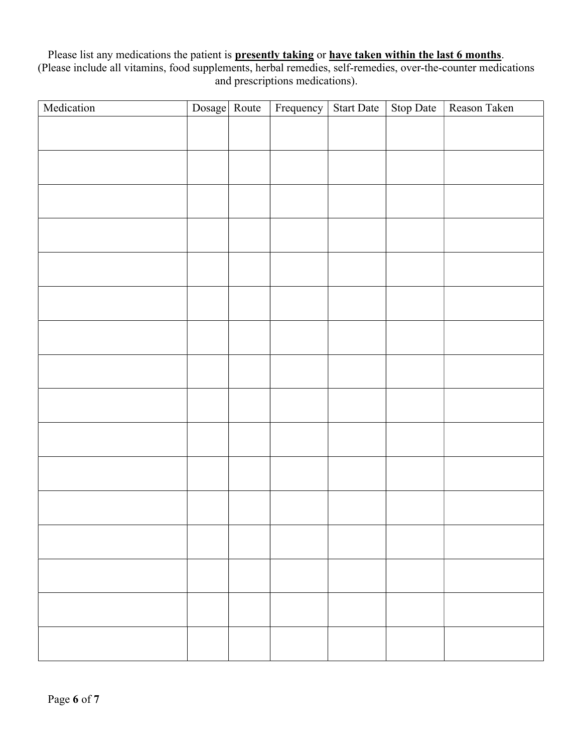Please list any medications the patient is **presently taking** or **have taken within the last 6 months**. (Please include all vitamins, food supplements, herbal remedies, self-remedies, over-the-counter medications and prescriptions medications).

| Medication | Dosage Route | Frequency | Start Date | Stop Date | Reason Taken |
|------------|--------------|-----------|------------|-----------|--------------|
|            |              |           |            |           |              |
|            |              |           |            |           |              |
|            |              |           |            |           |              |
|            |              |           |            |           |              |
|            |              |           |            |           |              |
|            |              |           |            |           |              |
|            |              |           |            |           |              |
|            |              |           |            |           |              |
|            |              |           |            |           |              |
|            |              |           |            |           |              |
|            |              |           |            |           |              |
|            |              |           |            |           |              |
|            |              |           |            |           |              |
|            |              |           |            |           |              |
|            |              |           |            |           |              |
|            |              |           |            |           |              |